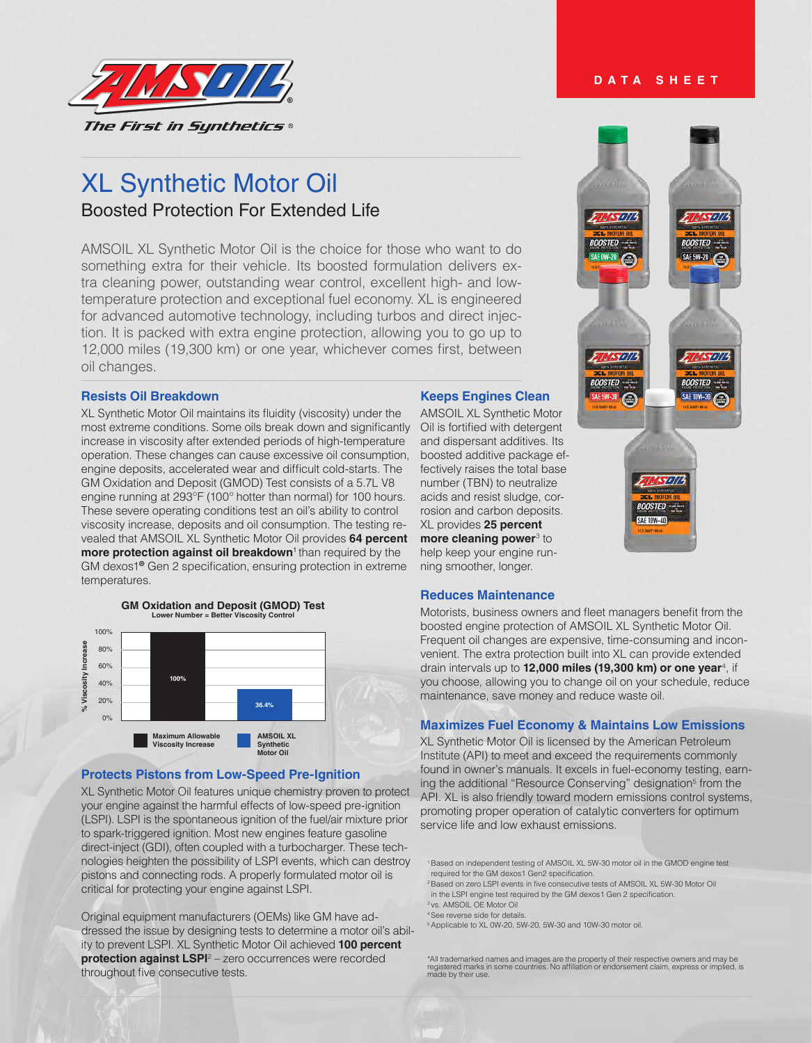

# XL Synthetic Motor Oil Boosted Protection For Extended Life

AMSOIL XL Synthetic Motor Oil is the choice for those who want to do something extra for their vehicle. Its boosted formulation delivers extra cleaning power, outstanding wear control, excellent high- and lowtemperature protection and exceptional fuel economy. XL is engineered for advanced automotive technology, including turbos and direct injection. It is packed with extra engine protection, allowing you to go up to 12,000 miles (19,300 km) or one year, whichever comes first, between oil changes.

### **Resists Oil Breakdown**

XL Synthetic Motor Oil maintains its fluidity (viscosity) under the most extreme conditions. Some oils break down and significantly increase in viscosity after extended periods of high-temperature operation. These changes can cause excessive oil consumption, engine deposits, accelerated wear and difficult cold-starts. The GM Oxidation and Deposit (GMOD) Test consists of a 5.7L V8 engine running at 293ºF (100º hotter than normal) for 100 hours. These severe operating conditions test an oil's ability to control viscosity increase, deposits and oil consumption. The testing revealed that AMSOIL XL Synthetic Motor Oil provides **64 percent more protection against oil breakdown**<sup>1</sup> than required by the GM dexos1® Gen 2 specification, ensuring protection in extreme temperatures.



# **Protects Pistons from Low-Speed Pre-Ignition**

XL Synthetic Motor Oil features unique chemistry proven to protect your engine against the harmful effects of low-speed pre-ignition (LSPI). LSPI is the spontaneous ignition of the fuel/air mixture prior to spark-triggered ignition. Most new engines feature gasoline direct-inject (GDI), often coupled with a turbocharger. These technologies heighten the possibility of LSPI events, which can destroy pistons and connecting rods. A properly formulated motor oil is critical for protecting your engine against LSPI.

Original equipment manufacturers (OEMs) like GM have addressed the issue by designing tests to determine a motor oil's ability to prevent LSPI. XL Synthetic Motor Oil achieved **100 percent protection against LSPI**<sup>2</sup> – zero occurrences were recorded throughout five consecutive tests.

#### **Keeps Engines Clean**

AMSOIL XL Synthetic Motor Oil is fortified with detergent and dispersant additives. Its boosted additive package effectively raises the total base number (TBN) to neutralize acids and resist sludge, corrosion and carbon deposits. XL provides **25 percent more cleaning power**<sup>3</sup> to help keep your engine running smoother, longer.

#### **Reduces Maintenance**

Motorists, business owners and fleet managers benefit from the boosted engine protection of AMSOIL XL Synthetic Motor Oil. Frequent oil changes are expensive, time-consuming and inconvenient. The extra protection built into XL can provide extended drain intervals up to **12,000 miles (19,300 km) or one year**<sup>4</sup> , if you choose, allowing you to change oil on your schedule, reduce maintenance, save money and reduce waste oil.

#### **Maximizes Fuel Economy & Maintains Low Emissions**

XL Synthetic Motor Oil is licensed by the American Petroleum Institute (API) to meet and exceed the requirements commonly found in owner's manuals. It excels in fuel-economy testing, earning the additional "Resource Conserving" designation<sup>5</sup> from the API. XL is also friendly toward modern emissions control systems, promoting proper operation of catalytic converters for optimum service life and low exhaust emissions.

- 1 Based on independent testing of AMSOIL XL 5W-30 motor oil in the GMOD engine test required for the GM dexos1 Gen2 specification.
- <sup>2</sup> Based on zero LSPI events in five consecutive tests of AMSOIL XL 5W-30 Motor Oil in the LSPI engine test required by the GM dexos1 Gen 2 specification.
- 3 vs. AMSOIL OE Motor Oil
- 4 See reverse side for details.

5 Applicable to XL 0W-20, 5W-20, 5W-30 and 10W-30 motor oil.

#### **DATA SHEET**



<sup>\*</sup>All trademarked names and images are the property of their respective owners and may be registered marks in some countries. No affiliation or endorsement claim, express or implied, is made by their use.